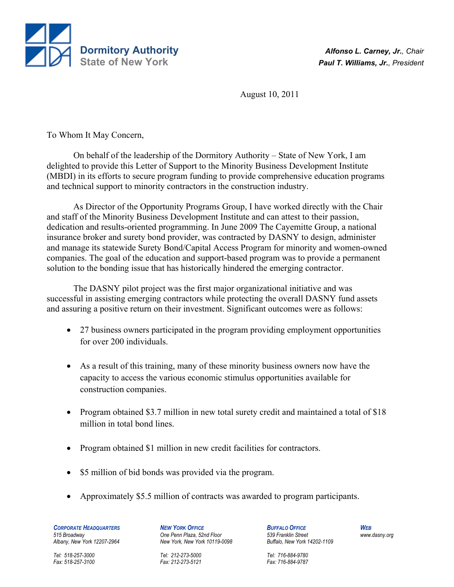

August 10, 2011

To Whom It May Concern,

 On behalf of the leadership of the Dormitory Authority – State of New York, I am delighted to provide this Letter of Support to the Minority Business Development Institute (MBDI) in its efforts to secure program funding to provide comprehensive education programs and technical support to minority contractors in the construction industry.

 As Director of the Opportunity Programs Group, I have worked directly with the Chair and staff of the Minority Business Development Institute and can attest to their passion, dedication and results-oriented programming. In June 2009 The Cayemitte Group, a national insurance broker and surety bond provider, was contracted by DASNY to design, administer and manage its statewide Surety Bond/Capital Access Program for minority and women-owned companies. The goal of the education and support-based program was to provide a permanent solution to the bonding issue that has historically hindered the emerging contractor.

 The DASNY pilot project was the first major organizational initiative and was successful in assisting emerging contractors while protecting the overall DASNY fund assets and assuring a positive return on their investment. Significant outcomes were as follows:

- 27 business owners participated in the program providing employment opportunities for over 200 individuals.
- As a result of this training, many of these minority business owners now have the capacity to access the various economic stimulus opportunities available for construction companies.
- Program obtained \$3.7 million in new total surety credit and maintained a total of \$18 million in total bond lines.
- Program obtained \$1 million in new credit facilities for contractors.
- \$5 million of bid bonds was provided via the program.
- Approximately \$5.5 million of contracts was awarded to program participants.

*CORPORATE HEADQUARTERS NEW YORK OFFICE BUFFALO OFFICE WEB 515 Broadway One Penn Plaza, 52nd Floor 539 Franklin Street www.dasny.org* 

*Albany, New York 12207-2964 New York, New York 10119-0098 Buffalo, New York 14202-1109* 

*Tel: 518-257-3000 Tel: 212-273-5000 Tel: 716-884-9780* 

*Fax: 518-257-3100 Fax: 212-273-5121 Fax: 716-884-9787*